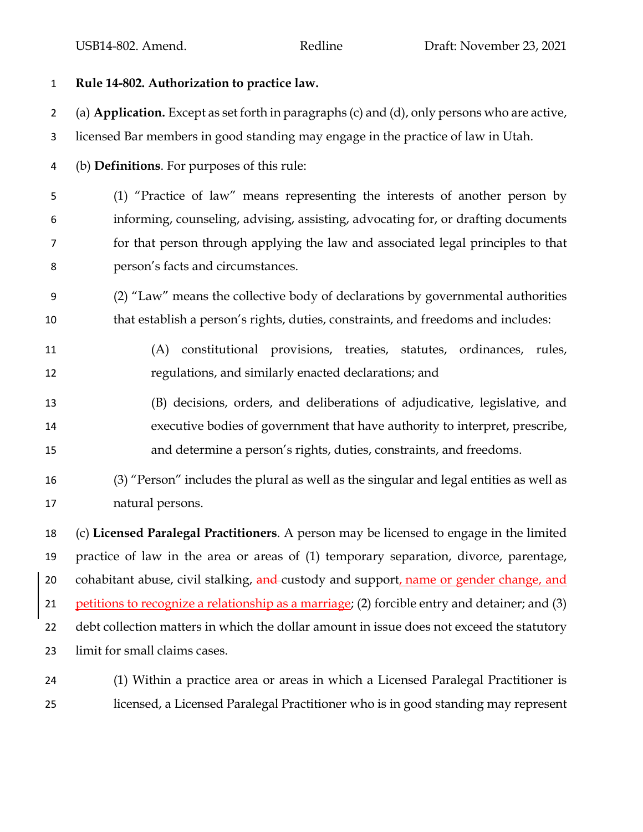## **Rule 14-802. Authorization to practice law.** (a) **Application.** Except as set forth in paragraphs (c) and (d), only persons who are active, licensed Bar members in good standing may engage in the practice of law in Utah. (b) **Definitions**. For purposes of this rule: (1) "Practice of law" means representing the interests of another person by informing, counseling, advising, assisting, advocating for, or drafting documents for that person through applying the law and associated legal principles to that person's facts and circumstances. (2) "Law" means the collective body of declarations by governmental authorities that establish a person's rights, duties, constraints, and freedoms and includes: (A) constitutional provisions, treaties, statutes, ordinances, rules, regulations, and similarly enacted declarations; and (B) decisions, orders, and deliberations of adjudicative, legislative, and executive bodies of government that have authority to interpret, prescribe, and determine a person's rights, duties, constraints, and freedoms. (3) "Person" includes the plural as well as the singular and legal entities as well as natural persons. (c) **Licensed Paralegal Practitioners**. A person may be licensed to engage in the limited practice of law in the area or areas of (1) temporary separation, divorce, parentage, 20 cohabitant abuse, civil stalking, and custody and support, name or gender change, and petitions to recognize a relationship as a marriage; (2) forcible entry and detainer; and (3)

22 debt collection matters in which the dollar amount in issue does not exceed the statutory limit for small claims cases.

 (1) Within a practice area or areas in which a Licensed Paralegal Practitioner is licensed, a Licensed Paralegal Practitioner who is in good standing may represent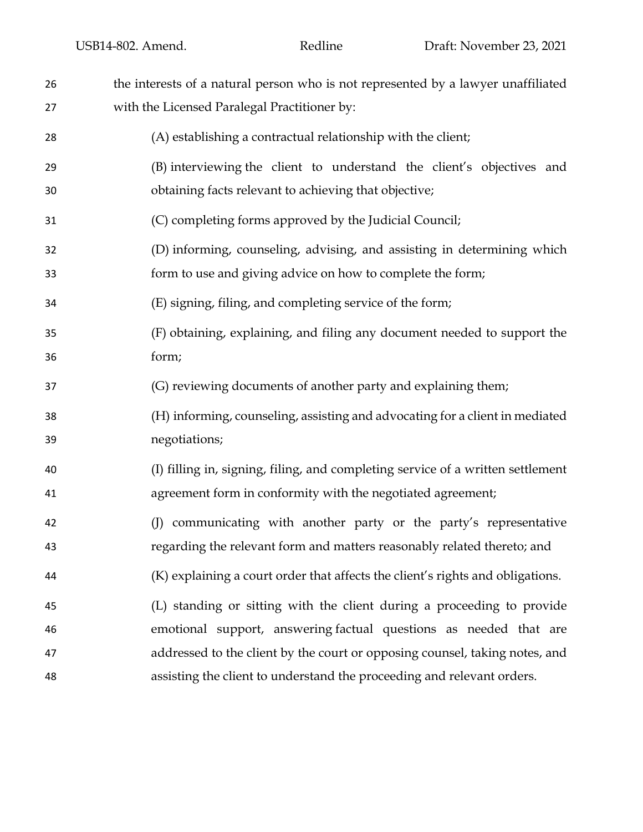| 26 | the interests of a natural person who is not represented by a lawyer unaffiliated |
|----|-----------------------------------------------------------------------------------|
| 27 | with the Licensed Paralegal Practitioner by:                                      |
| 28 | (A) establishing a contractual relationship with the client;                      |
| 29 | (B) interviewing the client to understand the client's objectives and             |
| 30 | obtaining facts relevant to achieving that objective;                             |
| 31 | (C) completing forms approved by the Judicial Council;                            |
| 32 | (D) informing, counseling, advising, and assisting in determining which           |
| 33 | form to use and giving advice on how to complete the form;                        |
| 34 | (E) signing, filing, and completing service of the form;                          |
| 35 | (F) obtaining, explaining, and filing any document needed to support the          |
| 36 | form;                                                                             |
| 37 | (G) reviewing documents of another party and explaining them;                     |
| 38 | (H) informing, counseling, assisting and advocating for a client in mediated      |
| 39 | negotiations;                                                                     |
| 40 | (I) filling in, signing, filing, and completing service of a written settlement   |
| 41 | agreement form in conformity with the negotiated agreement;                       |
| 42 | communicating with another party or the party's representative<br>(I)             |
| 43 | regarding the relevant form and matters reasonably related thereto; and           |
| 44 | (K) explaining a court order that affects the client's rights and obligations.    |
| 45 | (L) standing or sitting with the client during a proceeding to provide            |
| 46 | emotional support, answering factual questions as needed that are                 |
| 47 | addressed to the client by the court or opposing counsel, taking notes, and       |
| 48 | assisting the client to understand the proceeding and relevant orders.            |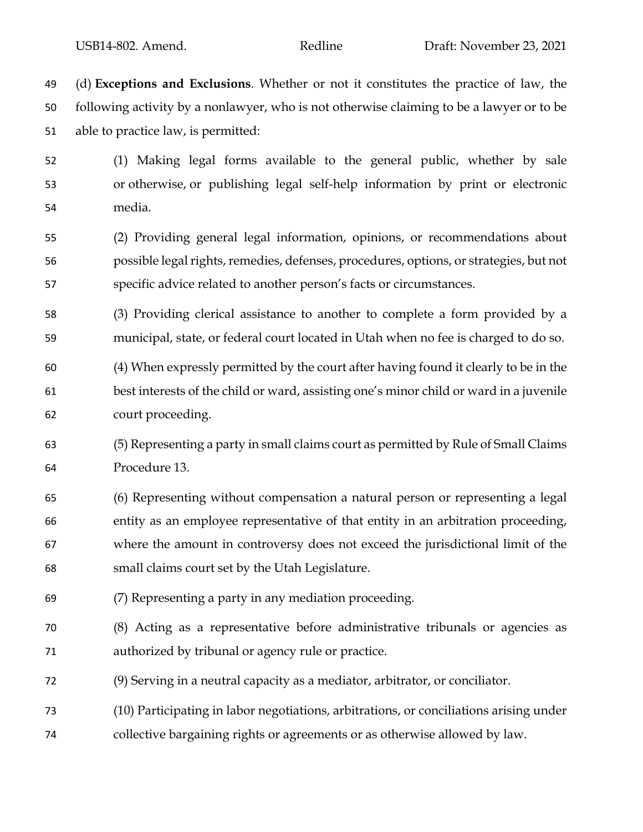(d) **Exceptions and Exclusions**. Whether or not it constitutes the practice of law, the following activity by a nonlawyer, who is not otherwise claiming to be a lawyer or to be able to practice law, is permitted:

 (1) Making legal forms available to the general public, whether by sale or otherwise, or publishing legal self-help information by print or electronic media.

 (2) Providing general legal information, opinions, or recommendations about possible legal rights, remedies, defenses, procedures, options, or strategies, but not specific advice related to another person's facts or circumstances.

 (3) Providing clerical assistance to another to complete a form provided by a municipal, state, or federal court located in Utah when no fee is charged to do so.

 (4) When expressly permitted by the court after having found it clearly to be in the best interests of the child or ward, assisting one's minor child or ward in a juvenile court proceeding.

 (5) Representing a party in small claims court as permitted by Rule of Small Claims Procedure 13.

 (6) Representing without compensation a natural person or representing a legal entity as an employee representative of that entity in an arbitration proceeding, where the amount in controversy does not exceed the jurisdictional limit of the small claims court set by the Utah Legislature.

- (7) Representing a party in any mediation proceeding.
- (8) Acting as a representative before administrative tribunals or agencies as authorized by tribunal or agency rule or practice.
- (9) Serving in a neutral capacity as a mediator, arbitrator, or conciliator.
- (10) Participating in labor negotiations, arbitrations, or conciliations arising under
- collective bargaining rights or agreements or as otherwise allowed by law.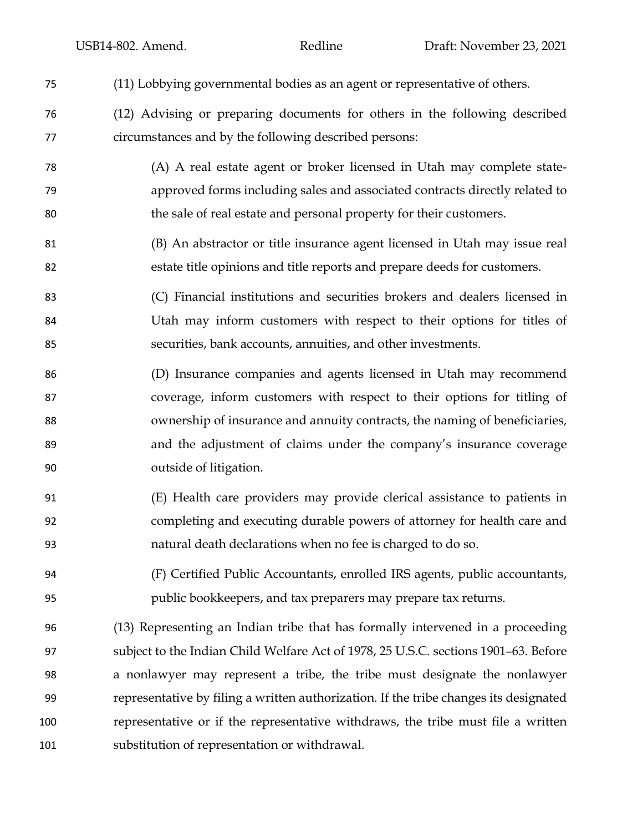| 75  | (11) Lobbying governmental bodies as an agent or representative of others.            |
|-----|---------------------------------------------------------------------------------------|
| 76  | (12) Advising or preparing documents for others in the following described            |
| 77  | circumstances and by the following described persons:                                 |
| 78  | (A) A real estate agent or broker licensed in Utah may complete state-                |
| 79  | approved forms including sales and associated contracts directly related to           |
| 80  | the sale of real estate and personal property for their customers.                    |
| 81  | (B) An abstractor or title insurance agent licensed in Utah may issue real            |
| 82  | estate title opinions and title reports and prepare deeds for customers.              |
| 83  | (C) Financial institutions and securities brokers and dealers licensed in             |
| 84  | Utah may inform customers with respect to their options for titles of                 |
| 85  | securities, bank accounts, annuities, and other investments.                          |
| 86  | (D) Insurance companies and agents licensed in Utah may recommend                     |
| 87  | coverage, inform customers with respect to their options for titling of               |
| 88  | ownership of insurance and annuity contracts, the naming of beneficiaries,            |
| 89  | and the adjustment of claims under the company's insurance coverage                   |
| 90  | outside of litigation.                                                                |
| 91  | (E) Health care providers may provide clerical assistance to patients in              |
| 92  | completing and executing durable powers of attorney for health care and               |
| 93  | natural death declarations when no fee is charged to do so.                           |
| 94  | (F) Certified Public Accountants, enrolled IRS agents, public accountants,            |
| 95  | public bookkeepers, and tax preparers may prepare tax returns.                        |
| 96  | (13) Representing an Indian tribe that has formally intervened in a proceeding        |
| 97  | subject to the Indian Child Welfare Act of 1978, 25 U.S.C. sections 1901–63. Before   |
| 98  | a nonlawyer may represent a tribe, the tribe must designate the nonlawyer             |
| 99  | representative by filing a written authorization. If the tribe changes its designated |
| 100 | representative or if the representative withdraws, the tribe must file a written      |
| 101 | substitution of representation or withdrawal.                                         |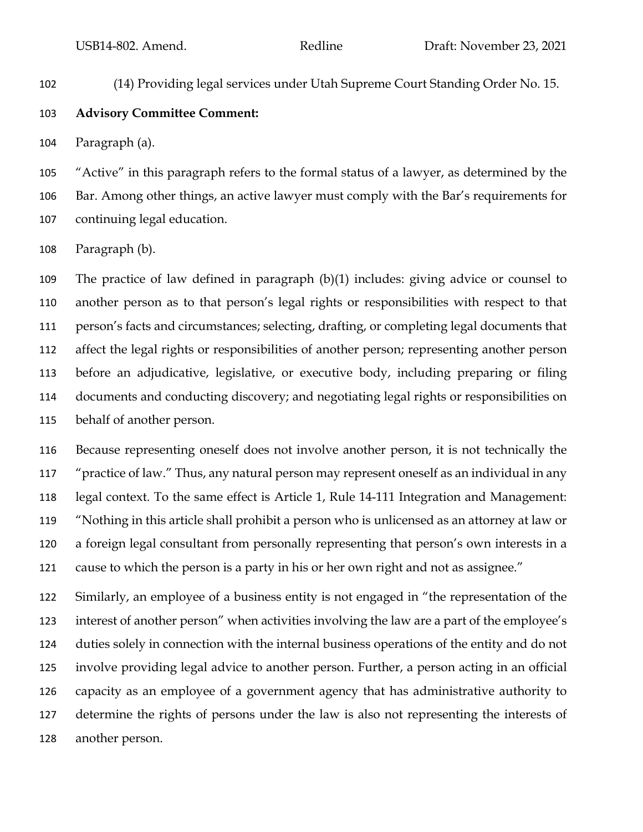(14) Providing legal services under Utah Supreme Court Standing Order No. 15.

## **Advisory Committee Comment:**

Paragraph (a).

 "Active" in this paragraph refers to the formal status of a lawyer, as determined by the Bar. Among other things, an active lawyer must comply with the Bar's requirements for continuing legal education.

Paragraph (b).

 The practice of law defined in paragraph (b)(1) includes: giving advice or counsel to another person as to that person's legal rights or responsibilities with respect to that person's facts and circumstances; selecting, drafting, or completing legal documents that affect the legal rights or responsibilities of another person; representing another person before an adjudicative, legislative, or executive body, including preparing or filing documents and conducting discovery; and negotiating legal rights or responsibilities on behalf of another person.

 Because representing oneself does not involve another person, it is not technically the "practice of law." Thus, any natural person may represent oneself as an individual in any legal context. To the same effect is Article 1, Rule 14-111 Integration and Management: "Nothing in this article shall prohibit a person who is unlicensed as an attorney at law or a foreign legal consultant from personally representing that person's own interests in a cause to which the person is a party in his or her own right and not as assignee."

 Similarly, an employee of a business entity is not engaged in "the representation of the interest of another person" when activities involving the law are a part of the employee's duties solely in connection with the internal business operations of the entity and do not involve providing legal advice to another person. Further, a person acting in an official capacity as an employee of a government agency that has administrative authority to determine the rights of persons under the law is also not representing the interests of another person.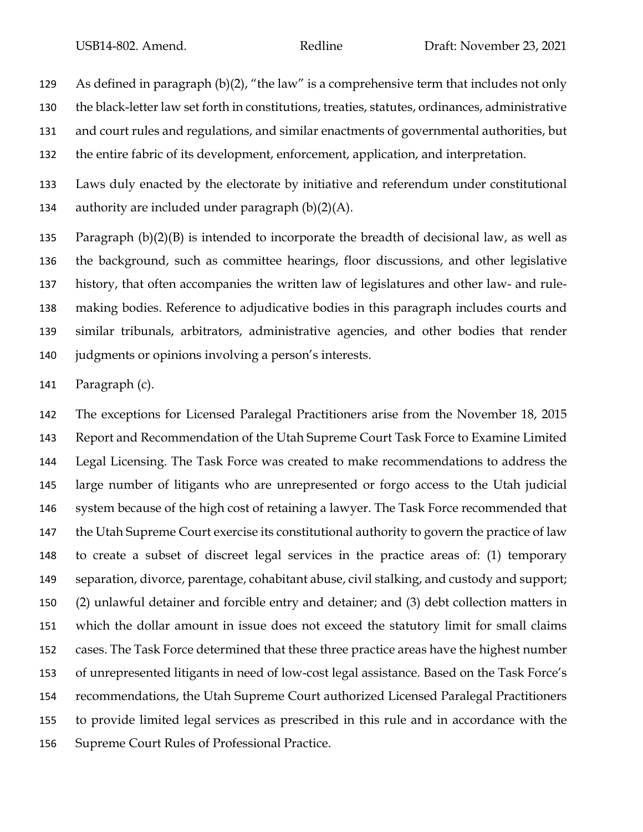As defined in paragraph (b)(2), "the law" is a comprehensive term that includes not only the black-letter law set forth in constitutions, treaties, statutes, ordinances, administrative and court rules and regulations, and similar enactments of governmental authorities, but the entire fabric of its development, enforcement, application, and interpretation.

 Laws duly enacted by the electorate by initiative and referendum under constitutional 134 authority are included under paragraph  $(b)(2)(A)$ .

 Paragraph (b)(2)(B) is intended to incorporate the breadth of decisional law, as well as the background, such as committee hearings, floor discussions, and other legislative history, that often accompanies the written law of legislatures and other law- and rule- making bodies. Reference to adjudicative bodies in this paragraph includes courts and similar tribunals, arbitrators, administrative agencies, and other bodies that render judgments or opinions involving a person's interests.

Paragraph (c).

 The exceptions for Licensed Paralegal Practitioners arise from the November 18, 2015 Report and Recommendation of the Utah Supreme Court Task Force to Examine Limited Legal Licensing. The Task Force was created to make recommendations to address the large number of litigants who are unrepresented or forgo access to the Utah judicial system because of the high cost of retaining a lawyer. The Task Force recommended that the Utah Supreme Court exercise its constitutional authority to govern the practice of law to create a subset of discreet legal services in the practice areas of: (1) temporary separation, divorce, parentage, cohabitant abuse, civil stalking, and custody and support; (2) unlawful detainer and forcible entry and detainer; and (3) debt collection matters in which the dollar amount in issue does not exceed the statutory limit for small claims cases. The Task Force determined that these three practice areas have the highest number of unrepresented litigants in need of low-cost legal assistance. Based on the Task Force's recommendations, the Utah Supreme Court authorized Licensed Paralegal Practitioners to provide limited legal services as prescribed in this rule and in accordance with the Supreme Court Rules of Professional Practice.